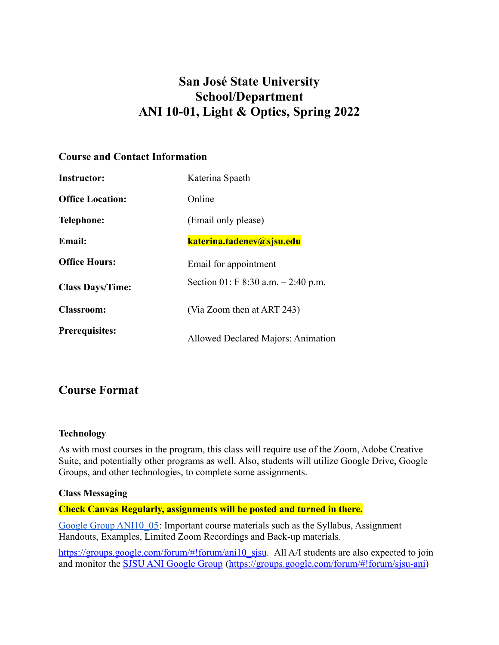# **San José State University School/Department ANI 10-01, Light & Optics, Spring 2022**

# **Course and Contact Information**

| <b>Instructor:</b>      | Katerina Spaeth                        |
|-------------------------|----------------------------------------|
| <b>Office Location:</b> | Online                                 |
| <b>Telephone:</b>       | (Email only please)                    |
| <b>Email:</b>           | katerina.tadenev@sjsu.edu              |
| <b>Office Hours:</b>    | Email for appointment                  |
| <b>Class Days/Time:</b> | Section 01: F $8:30$ a.m. $-2:40$ p.m. |
| <b>Classroom:</b>       | (Via Zoom then at ART 243)             |
| <b>Prerequisites:</b>   | Allowed Declared Majors: Animation     |

# **Course Format**

# **Technology**

As with most courses in the program, this class will require use of the Zoom, Adobe Creative Suite, and potentially other programs as well. Also, students will utilize Google Drive, Google Groups, and other technologies, to complete some assignments.

#### **Class Messaging**

# **Check Canvas Regularly, assignments will be posted and turned in there.**

[Google Group ANI10\\_05](https://drive.google.com/drive/folders/1PD58VblPzoyMDH9EEU4l85atXpYBj58_?usp=sharing): Important course materials such as the Syllabus, Assignment Handouts, Examples, Limited Zoom Recordings and Back-up materials.

[https://groups.google.com/forum/#!forum/ani10\\_sjsu](https://groups.google.com/forum/#!forum/ani10_sjsu). All A/I students are also expected to join and monitor the [SJSU ANI Google Group](https://groups.google.com/forum/#!forum/sjsu-ani) ([https://groups.google.com/forum/#!forum/sjsu-ani](https://groups.google.com/forum/%23!forum/sjsu-ani))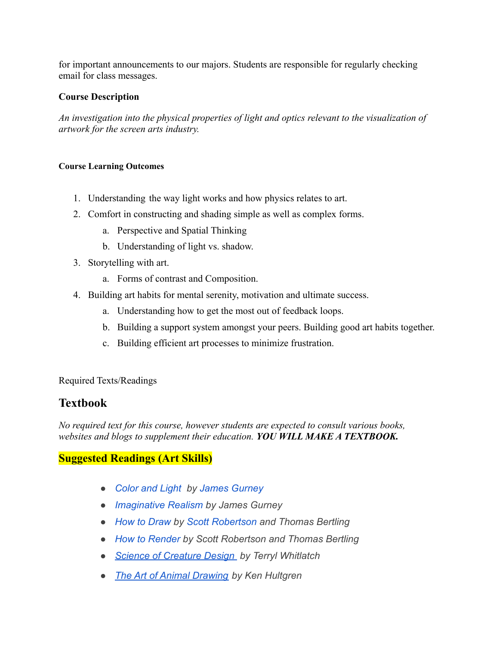for important announcements to our majors. Students are responsible for regularly checking email for class messages.

# **Course Description**

*An investigation into the physical properties of light and optics relevant to the visualization of artwork for the screen arts industry.*

#### **Course Learning Outcomes**

- 1. Understanding the way light works and how physics relates to art.
- 2. Comfort in constructing and shading simple as well as complex forms.
	- a. Perspective and Spatial Thinking
	- b. Understanding of light vs. shadow.
- 3. Storytelling with art.
	- a. Forms of contrast and Composition.
- 4. Building art habits for mental serenity, motivation and ultimate success.
	- a. Understanding how to get the most out of feedback loops.
	- b. Building a support system amongst your peers. Building good art habits together.
	- c. Building efficient art processes to minimize frustration.

# Required Texts/Readings

# **Textbook**

*No required text for this course, however students are expected to consult various books, websites and blogs to supplement their education. YOU WILL MAKE A TEXTBOOK.*

# **Suggested Readings (Art Skills)**

- *● [Color and Light](https://www.amazon.com/Color-Light-Realist-Painter-Gurney/dp/0740797719/ref=sr_1_2?dchild=1&keywords=james+gurney&qid=1618163201&s=books&sr=1-2) by [James Gurney](http://jamesgurney.com/site/)*
- *● [Imaginative Realism](https://www.amazon.com/Imaginative-Realism-Paint-Doesnt-Gurney/dp/0740785508/ref=sr_1_3?dchild=1&keywords=james+gurney&qid=1618163234&s=books&sr=1-3) by James Gurney*
- *● [How to Draw](https://www.amazon.com/Scott-Robertson-How-Draw-%E3%80%902018%E3%80%91/dp/B07JKXRNCC) by [Scott Robertson](https://cargocollective.com/drawthrough/Welcome) and Thomas Bertling*
- *● [How to Render](https://www.amazon.com/How-Render-fundamentals-shadow-reflectivity/dp/1933492961/ref=sr_1_2?dchild=1&keywords=scott+robertson&qid=1618432912&sr=8-2) by Scott Robertson and Thomas Bertling*
- *● [Science of Creature Design](https://www.amazon.com/Science-Creature-Design-understanding-anatomy/dp/1933492562/ref=sr_1_1?dchild=1&keywords=Science+of+Creature+Design&qid=1628536286&s=books&sr=1-1) by Terryl Whitlatch*
- *● [The Art of Animal Drawing](https://www.amazon.com/Art-Animal-Drawing-Construction-Caricature/dp/1621389820/ref=sr_1_1?dchild=1&keywords=The+Art+of+Animal+Drawing&qid=1628536338&s=books&sr=1-1) by Ken Hultgren*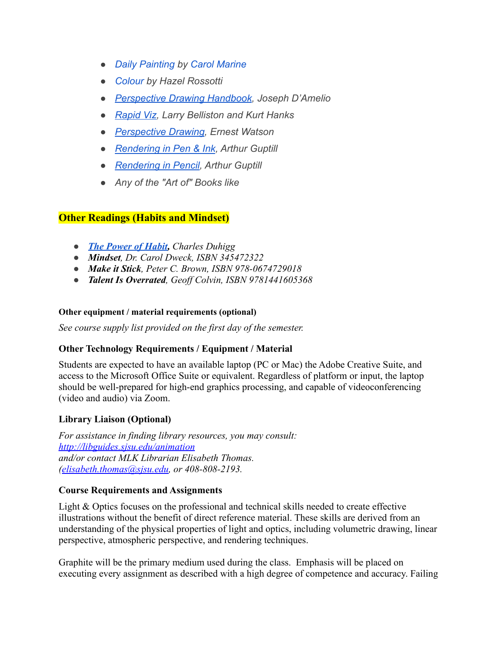- *● [Daily Painting](https://www.thriftbooks.com/w/daily-painting-paint-small-and-often-to-become-a-more-creative-productive-and-successful-artist_carol-marine/9002559/item/10187667/?gclid=CjwKCAjwvMqDBhB8EiwA2iSmPLlpXM9MQ5Y3POOd3G9Q0lnFenRhVOCXjPsunWA_rR1uGO-M0i-63hoCX4UQAvD_BwE#idiq=10187667&edition=8285500) by [Carol Marine](https://www.carolmarine.com/)*
- *● [Colour](https://www.amazon.com/Colour-Why-World-Isnt-Grey/dp/0691023867) by Hazel Rossotti*
- *● [Perspective Drawing Handbook](https://www.amazon.com/Perspective-Made-Easy-Dover-Instruction/dp/0486404730/ref=asc_df_0486404730/?tag=hyprod-20&linkCode=df0&hvadid=312138007830&hvpos=&hvnetw=g&hvrand=15648527977784579536&hvpone=&hvptwo=&hvqmt=&hvdev=c&hvdvcmdl=&hvlocint=&hvlocphy=9032139&hvtargid=pla-435509121024&psc=1&tag=&ref=&adgrpid=60258871097&hvpone=&hvptwo=&hvadid=312138007830&hvpos=&hvnetw=g&hvrand=15648527977784579536&hvqmt=&hvdev=c&hvdvcmdl=&hvlocint=&hvlocphy=9032139&hvtargid=pla-435509121024), Joseph D'Amelio*
- *● [Rapid Viz](https://www.thriftbooks.com/w/rapid-viz--a-new-method-for-the-rapid-visualization-of-ideas_kurt-hanks_larry-belliston/276016/#edition=2954143&idiq=5070328), [Larry Belliston](https://www.thriftbooks.com/a/larry-belliston/222291/) and [Kurt Hanks](https://www.thriftbooks.com/a/kurt-hanks/222292/)*
- *● [Perspective Drawing](https://www.amazon.com/Creative-Perspective-Artists-Illustrators-Instruction/dp/0486273377/ref=sr_1_2?dchild=1&keywords=Perspective+Drawing%2C+Ernest+Watson&qid=1628535837&s=books&sr=1-2), Ernest Watson*
- *● [Rendering in Pen & Ink](https://www.amazon.com/Rendering-Pen-Ink-Techniques-Illustrators/dp/0823045293/ref=sr_1_2?dchild=1&keywords=rendering+in+pen+%26+ink&qid=1628535897&s=books&sr=1-2), Arthur Guptill*
- *● [Rendering in Pencil](https://www.amazon.com/Drawing-Sketching-Pencil-Dover-Instruction/dp/0486460487/ref=sr_1_1_sspa?dchild=1&keywords=Rendering+in+Pencil&qid=1628535919&s=books&sr=1-1-spons&psc=1&spLa=ZW5jcnlwdGVkUXVhbGlmaWVyPUEyM0dXRDVJR0JGQzNZJmVuY3J5cHRlZElkPUEwMzcxNTU3MUxDSDZUV0s1REFUNSZlbmNyeXB0ZWRBZElkPUExMDM5NTQ4NDZKTDJCV1ZLMUcwJndpZGdldE5hbWU9c3BfYXRmJmFjdGlvbj1jbGlja1JlZGlyZWN0JmRvTm90TG9nQ2xpY2s9dHJ1ZQ==), Arthur Guptill*
- *● Any of the "Art of" Books like*

# **Other Readings (Habits and Mindset)**

- *● [The Power of Habit,](https://www.amazon.com/The-Power-of-Habit-Charles-Duhigg-audiobook/dp/B007EJSMC8/ref=sr_1_2?dchild=1&keywords=Habit&qid=1628536372&s=books&sr=1-2) Charles Duhigg*
- *● Mindset, Dr. Carol Dweck, ISBN 345472322*
- *● Make it Stick, Peter C. Brown, ISBN 978-0674729018*
- *● Talent Is Overrated, Geoff Colvin, ISBN 9781441605368*

#### **Other equipment / material requirements (optional)**

*See course supply list provided on the first day of the semester.*

# **Other Technology Requirements / Equipment / Material**

Students are expected to have an available laptop (PC or Mac) the Adobe Creative Suite, and access to the Microsoft Office Suite or equivalent. Regardless of platform or input, the laptop should be well-prepared for high-end graphics processing, and capable of videoconferencing (video and audio) via Zoom.

# **Library Liaison (Optional)**

*For assistance in finding library resources, you may consult: <http://libguides.sjsu.edu/animation> and/or contact MLK Librarian Elisabeth Thomas. ([elisabeth.thomas@sjsu.edu](mailto:elisabeth.thomas@sjsu.edu), or 408-808-2193.*

# **Course Requirements and Assignments**

Light & Optics focuses on the professional and technical skills needed to create effective illustrations without the benefit of direct reference material. These skills are derived from an understanding of the physical properties of light and optics, including volumetric drawing, linear perspective, atmospheric perspective, and rendering techniques.

Graphite will be the primary medium used during the class. Emphasis will be placed on executing every assignment as described with a high degree of competence and accuracy. Failing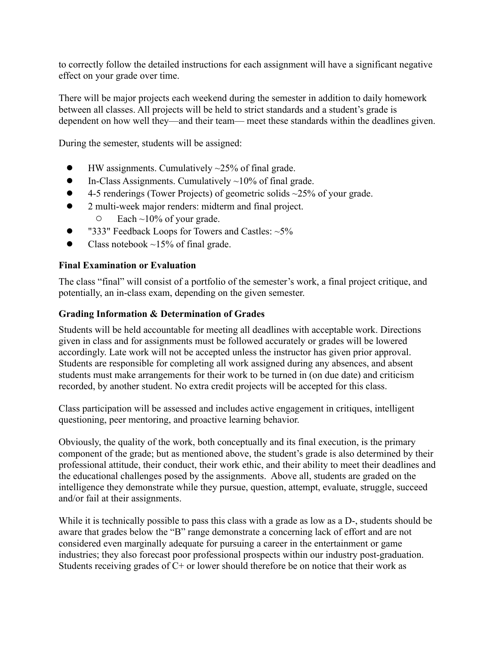to correctly follow the detailed instructions for each assignment will have a significant negative effect on your grade over time.

There will be major projects each weekend during the semester in addition to daily homework between all classes. All projects will be held to strict standards and a student's grade is dependent on how well they—and their team— meet these standards within the deadlines given.

During the semester, students will be assigned:

- HW assignments. Cumulatively  $\sim$ 25% of final grade.
- In-Class Assignments. Cumulatively  $\sim$ 10% of final grade.
- 4-5 renderings (Tower Projects) of geometric solids  $\sim$ 25% of your grade.
- 2 multi-week major renders: midterm and final project.
	- $\circ$  Each ~10% of your grade.
- $\bullet$  "333" Feedback Loops for Towers and Castles:  $\sim$ 5%
- Class notebook  $\sim$ 15% of final grade.

# **Final Examination or Evaluation**

The class "final" will consist of a portfolio of the semester's work, a final project critique, and potentially, an in-class exam, depending on the given semester.

# **Grading Information & Determination of Grades**

Students will be held accountable for meeting all deadlines with acceptable work. Directions given in class and for assignments must be followed accurately or grades will be lowered accordingly. Late work will not be accepted unless the instructor has given prior approval. Students are responsible for completing all work assigned during any absences, and absent students must make arrangements for their work to be turned in (on due date) and criticism recorded, by another student. No extra credit projects will be accepted for this class.

Class participation will be assessed and includes active engagement in critiques, intelligent questioning, peer mentoring, and proactive learning behavior.

Obviously, the quality of the work, both conceptually and its final execution, is the primary component of the grade; but as mentioned above, the student's grade is also determined by their professional attitude, their conduct, their work ethic, and their ability to meet their deadlines and the educational challenges posed by the assignments. Above all, students are graded on the intelligence they demonstrate while they pursue, question, attempt, evaluate, struggle, succeed and/or fail at their assignments.

While it is technically possible to pass this class with a grade as low as a D-, students should be aware that grades below the "B" range demonstrate a concerning lack of effort and are not considered even marginally adequate for pursuing a career in the entertainment or game industries; they also forecast poor professional prospects within our industry post-graduation. Students receiving grades of C+ or lower should therefore be on notice that their work as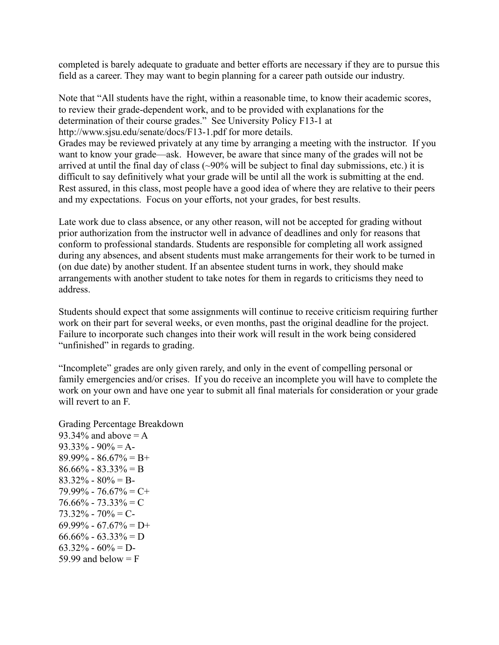completed is barely adequate to graduate and better efforts are necessary if they are to pursue this field as a career. They may want to begin planning for a career path outside our industry.

Note that "All students have the right, within a reasonable time, to know their academic scores, to review their grade-dependent work, and to be provided with explanations for the determination of their course grades." See University Policy F13-1 at http://www.sjsu.edu/senate/docs/F13-1.pdf for more details. Grades may be reviewed privately at any time by arranging a meeting with the instructor. If you want to know your grade—ask. However, be aware that since many of the grades will not be arrived at until the final day of class  $(\sim)0\%$  will be subject to final day submissions, etc.) it is difficult to say definitively what your grade will be until all the work is submitting at the end. Rest assured, in this class, most people have a good idea of where they are relative to their peers and my expectations. Focus on your efforts, not your grades, for best results.

Late work due to class absence, or any other reason, will not be accepted for grading without prior authorization from the instructor well in advance of deadlines and only for reasons that conform to professional standards. Students are responsible for completing all work assigned during any absences, and absent students must make arrangements for their work to be turned in (on due date) by another student. If an absentee student turns in work, they should make arrangements with another student to take notes for them in regards to criticisms they need to address.

Students should expect that some assignments will continue to receive criticism requiring further work on their part for several weeks, or even months, past the original deadline for the project. Failure to incorporate such changes into their work will result in the work being considered "unfinished" in regards to grading.

"Incomplete" grades are only given rarely, and only in the event of compelling personal or family emergencies and/or crises. If you do receive an incomplete you will have to complete the work on your own and have one year to submit all final materials for consideration or your grade will revert to an F.

Grading Percentage Breakdown 93.34% and above  $= A$  $93.33\% - 90\% = A$  $89.99\% - 86.67\% = B+$  $86.66\% - 83.33\% = B$  $83.32\% - 80\% = B$  $79.99\%$  -  $76.67\%$  = C+  $76.66\% - 73.33\% = C$  $73.32\%$  -  $70\%$  = C- $69.99\% - 67.67\% = D+$  $66.66\% - 63.33\% = D$  $63.32\% - 60\% = D$ 59.99 and below  $=$  F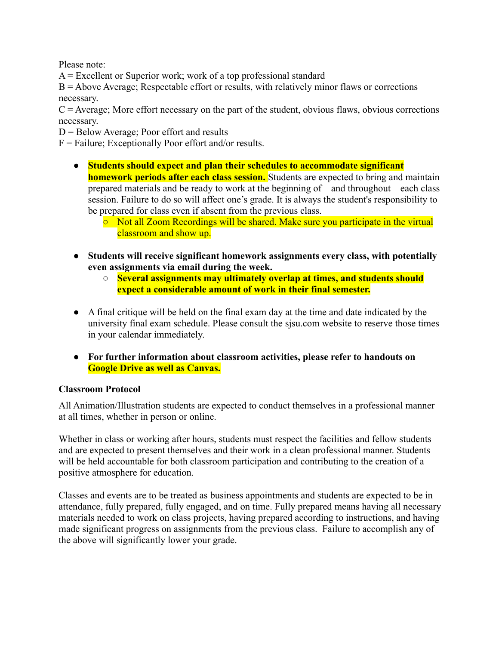Please note:

 $A =$  Excellent or Superior work; work of a top professional standard

 $B =$  Above Average; Respectable effort or results, with relatively minor flaws or corrections necessary.

 $C =$  Average; More effort necessary on the part of the student, obvious flaws, obvious corrections necessary.

 $D =$  Below Average; Poor effort and results

 $F =$  Failure; Exceptionally Poor effort and/or results.

- **Students should expect and plan their schedules to accommodate significant homework periods after each class session.** Students are expected to bring and maintain prepared materials and be ready to work at the beginning of—and throughout—each class session. Failure to do so will affect one's grade. It is always the student's responsibility to be prepared for class even if absent from the previous class.
	- Not all Zoom Recordings will be shared. Make sure you participate in the virtual classroom and show up.
- **● Students will receive significant homework assignments every class, with potentially even assignments via email during the week.**
	- **○ Several assignments may ultimately overlap at times, and students should expect a considerable amount of work in their final semester.**
- A final critique will be held on the final exam day at the time and date indicated by the university final exam schedule. Please consult the sjsu.com website to reserve those times in your calendar immediately.
- **● For further information about classroom activities, please refer to handouts on Google Drive as well as Canvas.**

# **Classroom Protocol**

All Animation/Illustration students are expected to conduct themselves in a professional manner at all times, whether in person or online.

Whether in class or working after hours, students must respect the facilities and fellow students and are expected to present themselves and their work in a clean professional manner. Students will be held accountable for both classroom participation and contributing to the creation of a positive atmosphere for education.

Classes and events are to be treated as business appointments and students are expected to be in attendance, fully prepared, fully engaged, and on time. Fully prepared means having all necessary materials needed to work on class projects, having prepared according to instructions, and having made significant progress on assignments from the previous class. Failure to accomplish any of the above will significantly lower your grade.